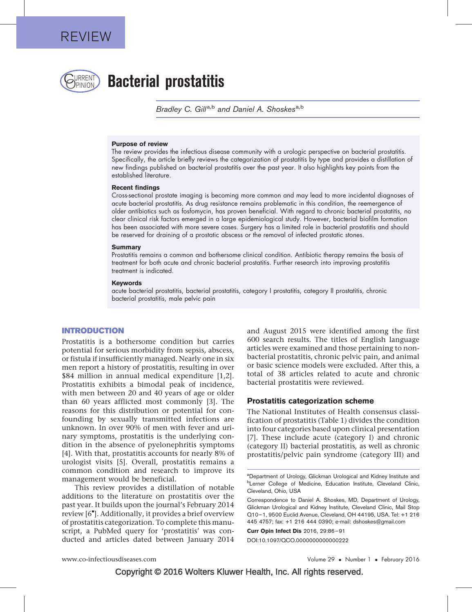

# RRENT **Bacterial prostatitis**

Bradley C. Gill<sup>a,b</sup> and Daniel A. Shoskes<sup>a,b</sup>

#### Purpose of review

The review provides the infectious disease community with a urologic perspective on bacterial prostatitis. Specifically, the article briefly reviews the categorization of prostatitis by type and provides a distillation of new findings published on bacterial prostatitis over the past year. It also highlights key points from the established literature.

#### Recent findings

Cross-sectional prostate imaging is becoming more common and may lead to more incidental diagnoses of acute bacterial prostatitis. As drug resistance remains problematic in this condition, the reemergence of older antibiotics such as fosfomycin, has proven beneficial. With regard to chronic bacterial prostatitis, no clear clinical risk factors emerged in a large epidemiological study. However, bacterial biofilm formation has been associated with more severe cases. Surgery has a limited role in bacterial prostatitis and should be reserved for draining of a prostatic abscess or the removal of infected prostatic stones.

#### **Summary**

Prostatitis remains a common and bothersome clinical condition. Antibiotic therapy remains the basis of treatment for both acute and chronic bacterial prostatitis. Further research into improving prostatitis treatment is indicated.

#### Keywords

acute bacterial prostatitis, bacterial prostatitis, category I prostatitis, category II prostatitis, chronic bacterial prostatitis, male pelvic pain

## INTRODUCTION

Prostatitis is a bothersome condition but carries potential for serious morbidity from sepsis, abscess, or fistula if insufficiently managed. Nearly one in six men report a history of prostatitis, resulting in over \$84 million in annual medical expenditure [\[1,2\].](#page-4-0) Prostatitis exhibits a bimodal peak of incidence, with men between 20 and 40 years of age or older than 60 years afflicted most commonly [\[3\].](#page-4-0) The reasons for this distribution or potential for confounding by sexually transmitted infections are unknown. In over 90% of men with fever and urinary symptoms, prostatitis is the underlying condition in the absence of pyelonephritis symptoms [\[4\]](#page-4-0). With that, prostatitis accounts for nearly 8% of urologist visits [\[5\]](#page-4-0). Overall, prostatitis remains a common condition and research to improve its management would be beneficial.

This review provides a distillation of notable additions to the literature on prostatitis over the past year. It builds upon the journal's February 2014 review [\[6](#page-4-0)"[\]](#page-4-0). Additionally, it provides a brief overview of prostatitis categorization. To complete this manuscript, a PubMed query for 'prostatitis' was conducted and articles dated between January 2014

and August 2015 were identified among the first 600 search results. The titles of English language articles were examined and those pertaining to nonbacterial prostatitis, chronic pelvic pain, and animal or basic science models were excluded. After this, a total of 38 articles related to acute and chronic bacterial prostatitis were reviewed.

## Prostatitis categorization scheme

The National Institutes of Health consensus classification of prostatitis (Table 1) divides the condition into four categories based upon clinical presentation [\[7\]](#page-4-0). These include acute (category I) and chronic (category II) bacterial prostatitis, as well as chronic prostatitis/pelvic pain syndrome (category III) and

Curr Opin Infect Dis 2016, 29:86–91

DOI:10.1097/QCO.0000000000000222

<sup>&</sup>lt;sup>a</sup>Department of Urology, Glickman Urological and Kidney Institute and <sup>b</sup>Lerner College of Medicine, Education Institute, Cleveland Clinic, Cleveland, Ohio, USA

Correspondence to Daniel A. Shoskes, MD, Department of Urology, Glickman Urological and Kidney Institute, Cleveland Clinic, Mail Stop Q10–1, 9500 Euclid Avenue, Cleveland, OH 44195, USA. Tel: +1 216 445 4757; fax: +1 216 444 0390; e-mail: [dshoskes@gmail.com](mailto:dshoskes@gmail.com)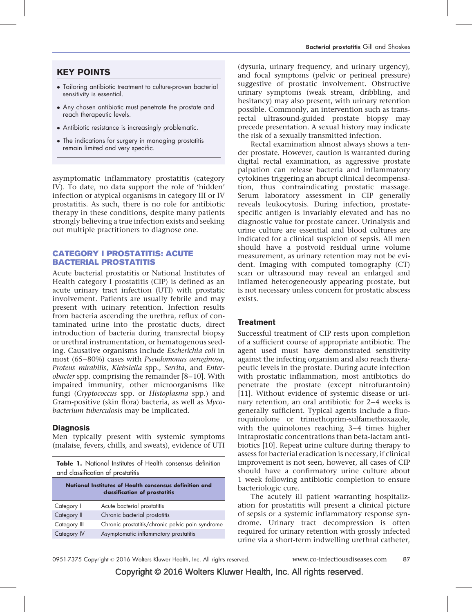# KEY POINTS

- Tailoring antibiotic treatment to culture-proven bacterial sensitivity is essential.
- Any chosen antibiotic must penetrate the prostate and reach therapeutic levels.
- Antibiotic resistance is increasingly problematic.
- The indications for surgery in managing prostatitis remain limited and very specific.

asymptomatic inflammatory prostatitis (category IV). To date, no data support the role of 'hidden' infection or atypical organisms in category III or IV prostatitis. As such, there is no role for antibiotic therapy in these conditions, despite many patients strongly believing a true infection exists and seeking out multiple practitioners to diagnose one.

## CATEGORY I PROSTATITIS: ACUTE BACTERIAL PROSTATITIS

Acute bacterial prostatitis or National Institutes of Health category I prostatitis (CIP) is defined as an acute urinary tract infection (UTI) with prostatic involvement. Patients are usually febrile and may present with urinary retention. Infection results from bacteria ascending the urethra, reflux of contaminated urine into the prostatic ducts, direct introduction of bacteria during transrectal biopsy or urethral instrumentation, or hematogenous seeding. Causative organisms include Escherichia coli in most (65–80%) cases with Pseudomonas aeruginosa, Proteus mirabilis, Klebsiella spp., Serrita, and Enterobacter spp. comprising the remainder [\[8–10\]](#page-4-0). With impaired immunity, other microorganisms like fungi (Cryptococcus spp. or Histoplasma spp.) and Gram-positive (skin flora) bacteria, as well as Mycobacterium tuberculosis may be implicated.

## **Diagnosis**

Men typically present with systemic symptoms (malaise, fevers, chills, and sweats), evidence of UTI

Table 1. National Institutes of Health consensus definition and classification of prostatitis

| National Institutes of Health consensus definition and<br>classification of prostatitis |
|-----------------------------------------------------------------------------------------|
| Acute bacterial prostatitis                                                             |
| Chronic bacterial prostatitis                                                           |
| Chronic prostatitis/chronic pelvic pain syndrome                                        |
| Asymptomatic inflammatory prostatitis                                                   |
|                                                                                         |

(dysuria, urinary frequency, and urinary urgency), and focal symptoms (pelvic or perineal pressure) suggestive of prostatic involvement. Obstructive urinary symptoms (weak stream, dribbling, and hesitancy) may also present, with urinary retention possible. Commonly, an intervention such as transrectal ultrasound-guided prostate biopsy may precede presentation. A sexual history may indicate the risk of a sexually transmitted infection.

Rectal examination almost always shows a tender prostate. However, caution is warranted during digital rectal examination, as aggressive prostate palpation can release bacteria and inflammatory cytokines triggering an abrupt clinical decompensation, thus contraindicating prostatic massage. Serum laboratory assessment in CIP generally reveals leukocytosis. During infection, prostatespecific antigen is invariably elevated and has no diagnostic value for prostate cancer. Urinalysis and urine culture are essential and blood cultures are indicated for a clinical suspicion of sepsis. All men should have a postvoid residual urine volume measurement, as urinary retention may not be evident. Imaging with computed tomography (CT) scan or ultrasound may reveal an enlarged and inflamed heterogeneously appearing prostate, but is not necessary unless concern for prostatic abscess exists.

## **Treatment**

Successful treatment of CIP rests upon completion of a sufficient course of appropriate antibiotic. The agent used must have demonstrated sensitivity against the infecting organism and also reach therapeutic levels in the prostate. During acute infection with prostatic inflammation, most antibiotics do penetrate the prostate (except nitrofurantoin) [\[11\].](#page-4-0) Without evidence of systemic disease or urinary retention, an oral antibiotic for 2–4 weeks is generally sufficient. Typical agents include a fluoroquinolone or trimethoprim-sulfamethoxazole, with the quinolones reaching 3–4 times higher intraprostatic concentrations than beta-lactam antibiotics [\[10\].](#page-4-0) Repeat urine culture during therapy to assess for bacterial eradication is necessary, if clinical improvement is not seen, however, all cases of CIP should have a confirmatory urine culture about 1 week following antibiotic completion to ensure bacteriologic cure.

The acutely ill patient warranting hospitalization for prostatitis will present a clinical picture of sepsis or a systemic inflammatory response syndrome. Urinary tract decompression is often required for urinary retention with grossly infected urine via a short-term indwelling urethral catheter,

0951-7375 Copyright © 2016 Wolters Kluwer Health, Inc. All rights reserved. www.co-infectiousdiseases.com 87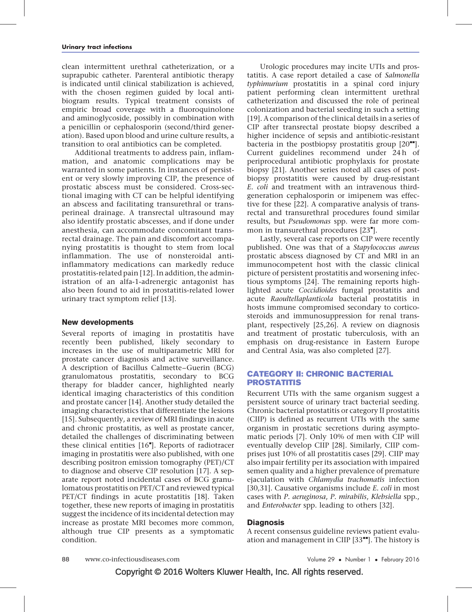clean intermittent urethral catheterization, or a suprapubic catheter. Parenteral antibiotic therapy is indicated until clinical stabilization is achieved, with the chosen regimen guided by local antibiogram results. Typical treatment consists of empiric broad coverage with a fluoroquinolone and aminoglycoside, possibly in combination with a penicillin or cephalosporin (second/third generation). Based upon blood and urine culture results, a transition to oral antibiotics can be completed.

Additional treatments to address pain, inflammation, and anatomic complications may be warranted in some patients. In instances of persistent or very slowly improving CIP, the presence of prostatic abscess must be considered. Cross-sectional imaging with CT can be helpful identifying an abscess and facilitating transurethral or transperineal drainage. A transrectal ultrasound may also identify prostatic abscesses, and if done under anesthesia, can accommodate concomitant transrectal drainage. The pain and discomfort accompanying prostatitis is thought to stem from local inflammation. The use of nonsteroidal antiinflammatory medications can markedly reduce prostatitis-related pain [\[12\]](#page-4-0). In addition, the administration of an alfa-1-adrenergic antagonist has also been found to aid in prostatitis-related lower urinary tract symptom relief [\[13\].](#page-4-0)

## New developments

Several reports of imaging in prostatitis have recently been published, likely secondary to increases in the use of multiparametric MRI for prostate cancer diagnosis and active surveillance. A description of Bacillus Calmette–Guerin (BCG) granulomatous prostatitis, secondary to BCG therapy for bladder cancer, highlighted nearly identical imaging characteristics of this condition and prostate cancer [\[14\]](#page-4-0). Another study detailed the imaging characteristics that differentiate the lesions [\[15\].](#page-4-0) Subsequently, a review of MRI findings in acute and chronic prostatitis, as well as prostate cancer, detailed the challenges of discriminating between these clinical entities [\[16](#page-4-0)"[\].](#page-4-0) Reports of radiotracer imaging in prostatitis were also published, with one describing positron emission tomography (PET)/CT to diagnose and observe CIP resolution [\[17\]](#page-4-0). A separate report noted incidental cases of BCG granulomatous prostatitis on PET/CT and reviewed typical PET/CT findings in acute prostatitis [\[18\].](#page-4-0) Taken together, these new reports of imaging in prostatitis suggest the incidence of its incidental detection may increase as prostate MRI becomes more common, although true CIP presents as a symptomatic condition.

Urologic procedures may incite UTIs and prostatitis. A case report detailed a case of Salmonella typhimurium prostatitis in a spinal cord injury patient performing clean intermittent urethral catheterization and discussed the role of perineal colonization and bacterial seeding in such a setting [\[19\].](#page-4-0) A comparison of the clinical details in a series of CIP after transrectal prostate biopsy described a higher incidence of sepsis and antibiotic-resistant bacteria in the postbiopsy prostatitis group  $[20$ <sup> $\blacksquare$ </sup>. Current guidelines recommend under 24h of periprocedural antibiotic prophylaxis for prostate biopsy [\[21\]](#page-4-0). Another series noted all cases of postbiopsy prostatitis were caused by drug-resistant E. coli and treatment with an intravenous thirdgeneration cephalosporin or imipenem was effective for these [\[22\].](#page-4-0) A comparative analysis of transrectal and transurethral procedures found similar results, but Pseudomonas spp. were far more com-mon in transurethral procedures [\[23](#page-4-0)"[\].](#page-4-0)

Lastly, several case reports on CIP were recently published. One was that of a Stapylococcus aureus prostatic abscess diagnosed by CT and MRI in an immunocompetent host with the classic clinical picture of persistent prostatitis and worsening infectious symptoms [\[24\].](#page-4-0) The remaining reports highlighted acute Coccidioides fungal prostatitis and acute Raoultellaplanticola bacterial prostatitis in hosts immune compromised secondary to corticosteroids and immunosuppression for renal transplant, respectively [\[25,26\].](#page-4-0) A review on diagnosis and treatment of prostatic tuberculosis, with an emphasis on drug-resistance in Eastern Europe and Central Asia, was also completed [\[27\].](#page-4-0)

## CATEGORY II: CHRONIC BACTERIAL PROSTATITIS

Recurrent UTIs with the same organism suggest a persistent source of urinary tract bacterial seeding. Chronic bacterial prostatitis or category II prostatitis (CIIP) is defined as recurrent UTIs with the same organism in prostatic secretions during asymptomatic periods [\[7\]](#page-4-0). Only 10% of men with CIP will eventually develop CIIP [\[28\].](#page-4-0) Similarly, CIIP comprises just 10% of all prostatitis cases [\[29\]](#page-4-0). CIIP may also impair fertility per its association with impaired semen quality and a higher prevalence of premature ejaculation with Chlamydia trachomatis infection [\[30,31\]](#page-4-0). Causative organisms include E. coli in most cases with P. aeruginosa, P. mirabilis, Klebsiella spp., and Enterobacter spp. leading to others [\[32\]](#page-4-0).

## **Diagnosis**

A recent consensus guideline reviews patient evaluation and management in CIIP  $[33$ <sup> $]$ </sup>. The history is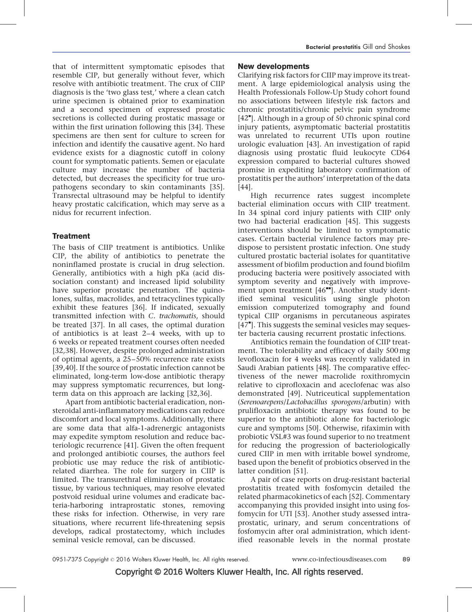that of intermittent symptomatic episodes that resemble CIP, but generally without fever, which resolve with antibiotic treatment. The crux of CIIP diagnosis is the 'two glass test,' where a clean catch urine specimen is obtained prior to examination and a second specimen of expressed prostatic secretions is collected during prostatic massage or within the first urination following this [\[34\]](#page-5-0). These specimens are then sent for culture to screen for infection and identify the causative agent. No hard evidence exists for a diagnostic cutoff in colony count for symptomatic patients. Semen or ejaculate culture may increase the number of bacteria detected, but decreases the specificity for true uropathogens secondary to skin contaminants [\[35\]](#page-5-0). Transrectal ultrasound may be helpful to identify heavy prostatic calcification, which may serve as a nidus for recurrent infection.

## **Treatment**

The basis of CIIP treatment is antibiotics. Unlike CIP, the ability of antibiotics to penetrate the noninflamed prostate is crucial in drug selection. Generally, antibiotics with a high pKa (acid dissociation constant) and increased lipid solubility have superior prostatic penetration. The quinolones, sulfas, macrolides, and tetracyclines typically exhibit these features [\[36\]](#page-5-0). If indicated, sexually transmitted infection with C. trachomatis, should be treated [\[37\].](#page-5-0) In all cases, the optimal duration of antibiotics is at least 2–4 weeks, with up to 6 weeks or repeated treatment courses often needed [\[32,38\]](#page-4-0). However, despite prolonged administration of optimal agents, a 25–50% recurrence rate exists [\[39,40\]](#page-5-0). If the source of prostatic infection cannot be eliminated, long-term low-dose antibiotic therapy may suppress symptomatic recurrences, but longterm data on this approach are lacking [\[32,36\].](#page-4-0)

Apart from antibiotic bacterial eradication, nonsteroidal anti-inflammatory medications can reduce discomfort and local symptoms. Additionally, there are some data that alfa-1-adrenergic antagonists may expedite symptom resolution and reduce bacteriologic recurrence [\[41\].](#page-5-0) Given the often frequent and prolonged antibiotic courses, the authors feel probiotic use may reduce the risk of antibioticrelated diarrhea. The role for surgery in CIIP is limited. The transurethral elimination of prostatic tissue, by various techniques, may resolve elevated postvoid residual urine volumes and eradicate bacteria-harboring intraprostatic stones, removing these risks for infection. Otherwise, in very rare situations, where recurrent life-threatening sepsis develops, radical prostatectomy, which includes seminal vesicle removal, can be discussed.

## New developments

Clarifying risk factors for CIIP may improve its treatment. A large epidemiological analysis using the Health Professionals Follow-Up Study cohort found no associations between lifestyle risk factors and chronic prostatitis/chronic pelvic pain syndrome [\[42](#page-5-0)"[\].](#page-5-0) Although in a group of 50 chronic spinal cord injury patients, asymptomatic bacterial prostatitis was unrelated to recurrent UTIs upon routine urologic evaluation [\[43\]](#page-5-0). An investigation of rapid diagnosis using prostatic fluid leukocyte CD64 expression compared to bacterial cultures showed promise in expediting laboratory confirmation of prostatitis per the authors' interpretation of the data [\[44\].](#page-5-0)

High recurrence rates suggest incomplete bacterial elimination occurs with CIIP treatment. In 34 spinal cord injury patients with CIIP only two had bacterial eradication [\[45\]](#page-5-0). This suggests interventions should be limited to symptomatic cases. Certain bacterial virulence factors may predispose to persistent prostatic infection. One study cultured prostatic bacterial isolates for quantitative assessment of biofilm production and found biofilm producing bacteria were positively associated with symptom severity and negatively with improvement upon treatment  $[46"$  $[46"$ . Another study identified seminal vesiculitis using single photon emission computerized tomography and found typical CIIP organisms in percutaneous aspirates [\[47](#page-5-0)"[\].](#page-5-0) This suggests the seminal vesicles may sequester bacteria causing recurrent prostatic infections.

Antibiotics remain the foundation of CIIP treatment. The tolerability and efficacy of daily 500 mg levofloxacin for 4 weeks was recently validated in Saudi Arabian patients [\[48\]](#page-5-0). The comparative effectiveness of the newer macrolide roxithromycin relative to ciprofloxacin and aceclofenac was also demonstrated [\[49\].](#page-5-0) Nutriceutical supplementation (Serenoarepens/Lactobacillus sporogens/arbutin) with prulifloxacin antibiotic therapy was found to be superior to the antibiotic alone for bacteriologic cure and symptoms [\[50\]](#page-5-0). Otherwise, rifaximin with probiotic VSL#3 was found superior to no treatment for reducing the progression of bacteriologically cured CIIP in men with irritable bowel syndrome, based upon the benefit of probiotics observed in the latter condition [\[51\].](#page-5-0)

A pair of case reports on drug-resistant bacterial prostatitis treated with fosfomycin detailed the related pharmacokinetics of each [\[52\].](#page-5-0) Commentary accompanying this provided insight into using fosfomycin for UTI [\[53\].](#page-5-0) Another study assessed intraprostatic, urinary, and serum concentrations of fosfomycin after oral administration, which identified reasonable levels in the normal prostate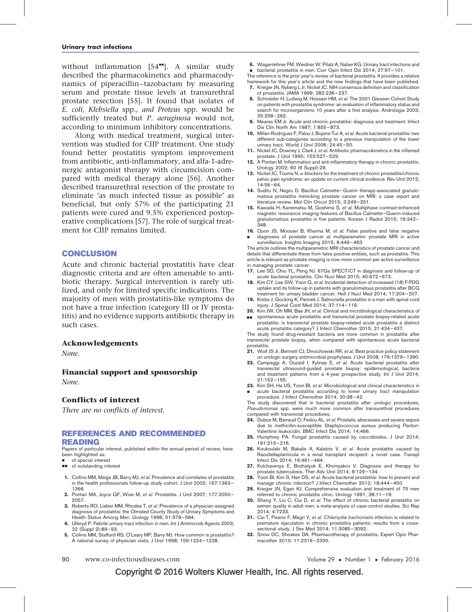<span id="page-4-0"></span>without inflammation  $[54$ <sup>---</sup>[\].](#page-5-0) A similar study described the pharmacokinetics and pharmacodynamics of piperacillin–tazobactam by measuring serum and prostate tissue levels at transurethral prostate resection [\[55\].](#page-5-0) It found that isolates of E. coli, Klebsiella spp., and Proteus spp. would be sufficiently treated but P. aeruginosa would not, according to minimum inhibitory concentrations.

Along with medical treatment, surgical intervention was studied for CIIP treatment. One study found better prostatitis symptom improvement from antibiotic, anti-inflammatory, and alfa-1-adrenergic antagonist therapy with circumcision compared with medical therapy alone [\[56\].](#page-5-0) Another described transurethral resection of the prostate to eliminate 'as much infected tissue as possible' as beneficial, but only 57% of the participating 21 patients were cured and 9.5% experienced postoperative complications [\[57\].](#page-5-0) The role of surgical treatment for CIIP remains limited.

#### **CONCLUSION**

Acute and chronic bacterial prostatitis have clear diagnostic criteria and are often amenable to antibiotic therapy. Surgical intervention is rarely utilized, and only for limited specific indications. The majority of men with prostatitis-like symptoms do not have a true infection (category III or IV prostatitis) and no evidence supports antibiotic therapy in such cases.

#### Acknowledgements

None.

#### Financial support and sponsorship

None.

#### Conflicts of interest

There are no conflicts of interest.

#### REFERENCES AND RECOMMENDED READING

Papers of particular interest, published within the annual period of review, have been highlighted as:

- of special interest
- $\Box$  of outstanding interest
- 1. Collins MM, Meigs JB, Barry MJ, et al. Prevalence and correlates of prostatitis in the health professionals follow-up study cohort. J Urol 2002; 167:1363– 1366.
- 2. Pontari MA, Joyce GF, Wise M, et al. Prostatitis. J Urol 2007; 177:2050-2057.
- 3. Roberts RO, Lieber MM, Rhodes T, et al. Prevalence of a physician-assigned diagnosis of prostatitis: the Olmsted County Study of Urinary Symptoms and Health Status Among Men. Urology 1998; 51:578–584.
- Ulleryd P. Febrile urinary tract infection in men. Int J Antimicrob Agents 2003; 22 (Suppl 2):89–93.
- 5. Collins MM, Stafford RS, O'Leary MP, Barry MJ. How common is prostatitis? A national survey of physician visits. J Urol 1998; 159:1224–1228.

6. Wagenlehner FM, Weidner W, Pilatz A, Naber KG. Urinary tract infections and

■ bacterial prostatitis in men. Curr Opin Infect Dis 2014; 27:97-101.

- The reference is the prior year's review of bacterial prostatitis. It provides a relative framework for this year's article and the new findings that have been published. 7. Krieger JN, Nyberg L Jr, Nickel JC. NIH consensus definition and classification
- of prostatitis. JAMA 1999; 282:236–237. 8. Schneider H, Ludwig M, Hossain HM, et al. The 2001 Giessen Cohort Study
- on patients with prostatitis syndrome: an evaluation of inflammatory status and search for microorganisms 10 years after a first analysis. Andrologia 2003; 35:258–262.
- 9. Meares EM Jr. Acute and chronic prostatitis: diagnosis and treatment. Infect Dis Clin North Am 1987; 1:855–873.
- 10. Millan-Rodriguez F, Palou J, Bujons-Tur A, et al. Acute bacterial prostatitis: two different sub-categories according to a previous manipulation of the lower urinary tract. World J Urol 2006; 24:45–50.
- 11. Nickel JC, Downey J, Clark J, et al. Antibiotic pharmacokinetics in the inflamed prostate. J Urol 1995; 153:527–529.
- 12. A Pontari M. Inflammation and anti-inflammatory therapy in chronic prostatitis. Urology 2002; 60 (6 Suppl):29.
- 13. Nickel JC. Touma N.  $\alpha$ -blockers for the treatment of chronic prostatitis/chronic pelvic pain syndrome: an update on current clinical evidence. Rev Urol 2012; 14:56–64.
- 14. Suditu N, Negru D. Bacillus Calmette–Guerin therapy-associated granulomatous prostatitis mimicking prostate cancer on MRI: a case report and literature review. Mol Clin Oncol 2015; 3:249–251.
- 15. Kawada H, Kanematsu M, Goshima S, et al. Multiphase contrast-enhanced magnetic resonance imaging features of Bacillus Calmette–Guerin-induced granulomatous prostatitis in five patients. Korean J Radiol 2015; 16:342– 348.
- 16. Quon JS, Moosavi B, Khanna M, et al. False positive and false negative & diagnoses of prostate cancer at multiparametric prostate MRI in active surveillance. Insights Imaging 2015; 6:449–463.

The article outlines the multiparametric MRI characteristics of prostate cancer and details that differentiate these from false positive entities, such as prostatitis. This article is relevant as prostate imaging is now more common per active surveillance in managing prostate cancer.

- 17. Lee SD, Chiu YL, Peng NJ. 67Ga SPECT/CT in diagnosis and follow-up of acute bacterial prostatitis. Clin Nucl Med 2015; 40:672–673.
- 18. Kim CY, Lee SW, Yoon G, et al. Incidental detection of increased (18) F-FDG uptake and its follow-up in patients with granulomatous prostatitis after BCG treatment for urinary bladder cancer. Hell J Nucl Med 2014; 17:204–207.
- 19. Krebs J, Gocking K, Pannek J. Salmonella prostatitis in a man with spinal cord injury. J Spinal Cord Med 2014; 37:114–116.
- 20. Kim JW, Oh MM, Bae JH, et al. Clinical and microbiological characteristics of && spontaneous acute prostatitis and transrectal prostate biopsy-related acute

prostatitis: is transrectal prostate biopsy-related acute prostatitis a distinct acute prostatitis category? J Infect Chemother 2015; 21:434–437.

The study found drug-resistant bacteria are more common in prostatitis after transrectal prostate biopsy, when compared with spontaneous acute bacterial prostatitis.

- 21. Wolf JS Jr, Bennett CJ, Dmochowski RR, et al. Best practice policy statement on urologic surgery antimicrobial prophylaxis. J Urol 2008; 179:1379–1390.
- 22. Campeggi A, Ouzaid I, Xylinas E, et al. Acute bacterial prostatitis after transrectal ultrasound-guided prostate biopsy: epidemiological, bacteria and treatment patterns from a 4-year prospective study. Int J Urol 2014; 21:152–155.
- 23. Kim SH, Ha US, Yoon BI, et al. Microbiological and clinical characteristics in & acute bacterial prostatitis according to lower urinary tract manipulation

procedure. J Infect Chemother 2014; 20:38–42. The study discovered that in bacterial prostatitis after urologic procedures, Pseudomonas spp. were much more common after transurethral procedures

- compared with transrectal procedures. 24. Dubos M, Barraud O, Fedou AL, et al. Prostatic abscesses and severe sepsis due to methicillin-susceptible Staphylococcus aureus producing Panton-Valentine leukocidin. BMC Infect Dis 2014; 14:466.
- 25. Humphrey PA. Fungal prostatitis caused by coccidioides. J Urol 2014; 191:215–216.
- 26. Koukoulaki M, Bakalis A, Kalatzis V, et al. Acute prostatitis caused by Raoultellaplanticola in a renal transplant recipient: a novel case. Transpl Infect Dis 2014; 16:461–464.
- 27. Kulchavenya E, Brizhatyuk E, Khomyakov V. Diagnosis and therapy for prostate tuberculosis. Ther Adv Urol 2014; 6:129–134. 28. Yoon BI, Kim S, Han DS, et al. Acute bacterial prostatitis: how to prevent and
- manage chronic infection? J Infect Chemother 2012; 18:444–450.
- 29. Krieger JN, Egan KJ. Comprehensive evaluation and treatment of 75 men referred to chronic prostatitis clinic. Urology 1991; 38:11–19.
- 30. Shang Y, Liu C, Cui D, et al. The effect of chronic bacterial prostatitis on semen quality in adult men: a meta-analysis of case-control studies. Sci Rep 2014; 4:7233.
- 31. Cai T, Pisano F, Magri V, et al. Chlamydia trachomatis infection is related to premature ejaculation in chronic prostatitis patients: results from a crosssectional study. J Sex Med 2014; 11:3085–3092.
- 32. Snow DC, Shoskes DA. Pharmacotherapy of prostatitis. Expert Opin Pharmacother 2010; 11:2319–2330.